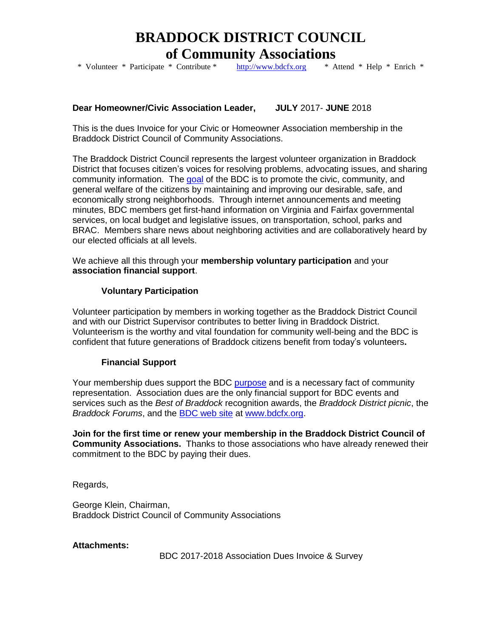# **BRADDOCK DISTRICT COUNCIL**

**of Community Associations**<br>\* Volunteer \* Participate \* Contribute \* http://www.bdcfx.org \* A

 $\frac{http://www.bdcfx.org}{http://www.bdcfx.org}$  \* Attend \* Help \* Enrich \*

## **Dear Homeowner/Civic Association Leader, JULY** 2017- **JUNE** 2018

This is the dues Invoice for your Civic or Homeowner Association membership in the Braddock District Council of Community Associations.

The Braddock District Council represents the largest volunteer organization in Braddock District that focuses citizen's voices for resolving problems, advocating issues, and sharing community information. The [goal](http://docs.google.com/viewer?a=v&pid=sites&srcid=ZGVmYXVsdGRvbWFpbnxiZGNmeHZhfGd4OjZiNjgxMjA0NDA2YWViYWI) of the BDC is to promote the civic, community, and general welfare of the citizens by maintaining and improving our desirable, safe, and economically strong neighborhoods. Through internet announcements and meeting minutes, BDC members get first-hand information on Virginia and Fairfax governmental services, on local budget and legislative issues, on transportation, school, parks and BRAC. Members share news about neighboring activities and are collaboratively heard by our elected officials at all levels.

We achieve all this through your **membership voluntary participation** and your **association financial support**.

### **Voluntary Participation**

Volunteer participation by members in working together as the Braddock District Council and with our District Supervisor contributes to better living in Braddock District. Volunteerism is the worthy and vital foundation for community well-being and the BDC is confident that future generations of Braddock citizens benefit from today's volunteers**.**

## **Financial Support**

Your membership dues support the BDC [purpose](http://docs.google.com/viewer?a=v&pid=sites&srcid=ZGVmYXVsdGRvbWFpbnxiZGNmeHZhfGd4OjZiNjgxMjA0NDA2YWViYWI) and is a necessary fact of community representation. Association dues are the only financial support for BDC events and services such as the *Best of Braddock* recognition awards, the *Braddock District picnic*, the *Braddock Forums*, and the [BDC web site](http://www.bdcfx.org/) at [www.bdcfx.org.](http://www.bdcfx.org/)

**Join for the first time or renew your membership in the Braddock District Council of Community Associations.** Thanks to those associations who have already renewed their commitment to the BDC by paying their dues.

Regards,

George Klein, Chairman, Braddock District Council of Community Associations

#### **Attachments:**

BDC 2017-2018 Association Dues Invoice & Survey